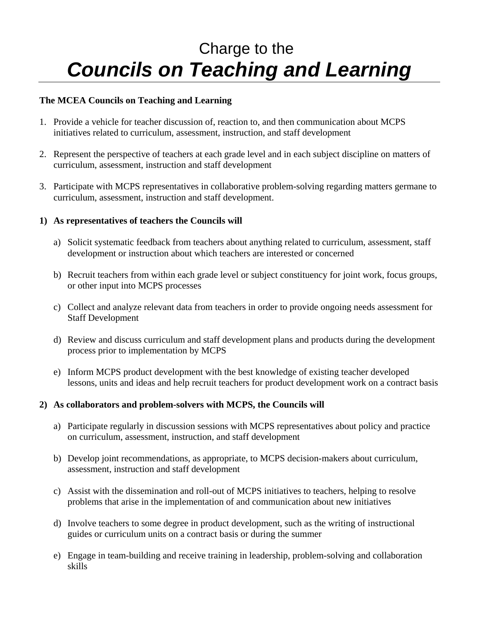# Charge to the *Councils on Teaching and Learning*

### **The MCEA Councils on Teaching and Learning**

- 1. Provide a vehicle for teacher discussion of, reaction to, and then communication about MCPS initiatives related to curriculum, assessment, instruction, and staff development
- 2. Represent the perspective of teachers at each grade level and in each subject discipline on matters of curriculum, assessment, instruction and staff development
- 3. Participate with MCPS representatives in collaborative problem-solving regarding matters germane to curriculum, assessment, instruction and staff development.

#### **1) As representatives of teachers the Councils will**

- a) Solicit systematic feedback from teachers about anything related to curriculum, assessment, staff development or instruction about which teachers are interested or concerned
- b) Recruit teachers from within each grade level or subject constituency for joint work, focus groups, or other input into MCPS processes
- c) Collect and analyze relevant data from teachers in order to provide ongoing needs assessment for Staff Development
- d) Review and discuss curriculum and staff development plans and products during the development process prior to implementation by MCPS
- e) Inform MCPS product development with the best knowledge of existing teacher developed lessons, units and ideas and help recruit teachers for product development work on a contract basis

#### **2) As collaborators and problem-solvers with MCPS, the Councils will**

- a) Participate regularly in discussion sessions with MCPS representatives about policy and practice on curriculum, assessment, instruction, and staff development
- b) Develop joint recommendations, as appropriate, to MCPS decision-makers about curriculum, assessment, instruction and staff development
- c) Assist with the dissemination and roll-out of MCPS initiatives to teachers, helping to resolve problems that arise in the implementation of and communication about new initiatives
- d) Involve teachers to some degree in product development, such as the writing of instructional guides or curriculum units on a contract basis or during the summer
- e) Engage in team-building and receive training in leadership, problem-solving and collaboration skills